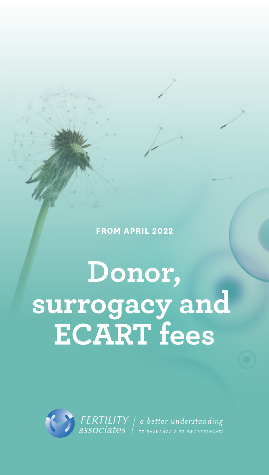**FROM APRIL 2022**

**Donor, surrogacy and ECART fees**

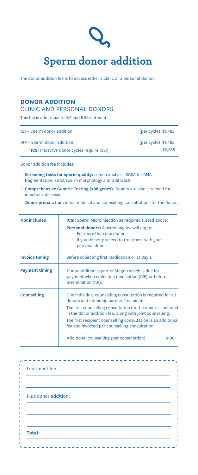

The donor addition fee is to access either a clinic or a personal donor.

# **DONOR ADDITION**

## CLINIC AND PERSONAL DONORS

This fee is additional to IVF and IUI treatment.

| <b>IUI</b> - Sperm donor addition                | $(\text{per cycle})$ \$1,485 |
|--------------------------------------------------|------------------------------|
| <b>IVF</b> – Sperm donor addition                | $(per cycle)$ \$1,485        |
| <b>ICSI</b> (most IVF donor cycles require ICSI) | \$2,635                      |

Donor addition fee includes:

- **Screening tests for sperm quality:** semen analysis, SCSA for DNA fragmentation, strict sperm morphology and trial wash.
- **Comprehensive Genetic Testing (288 genes).** Donors are also screened for infectious diseases.
- **Donor preparation:** initial medical and counselling consultations for the donor.

| <b>Not included</b>   | <b>ICSI:</b> Sperm Microinjection as required (listed above)<br><b>Personal donors:</b> A screening fee will apply:<br>$\cdot$ For more than one donor<br>. If you do not proceed to treatment with your<br>personal donor.                                                                                                                              |
|-----------------------|----------------------------------------------------------------------------------------------------------------------------------------------------------------------------------------------------------------------------------------------------------------------------------------------------------------------------------------------------------|
| <b>Invoice timing</b> | Before collecting first medication or at Day 1.                                                                                                                                                                                                                                                                                                          |
| <b>Payment timing</b> | Donor addition is part of Stage 1 which is due for<br>payment when collecting medication (IVF) or before<br>insemination (IUI).                                                                                                                                                                                                                          |
| <b>Counselling</b>    | One individual counselling consultation is required for all<br>donors and intending parents 'recipients'.<br>The first counselling consultation for the donor is included<br>in the donor addition fee, along with joint counselling.<br>The first recipient counselling consultation is an additional<br>fee and invoiced per counselling consultation. |
|                       | Additional counselling (per consultation)<br>\$190                                                                                                                                                                                                                                                                                                       |

| Plus donor addition: |  |  |
|----------------------|--|--|
|                      |  |  |
| Total:               |  |  |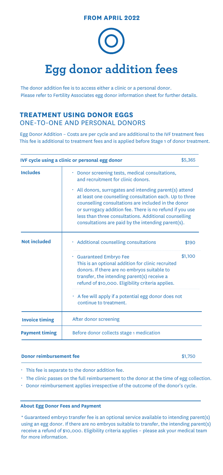### **FROM APRIL 2022**

# **Egg donor addition fees**

The donor addition fee is to access either a clinic or a personal donor. Please refer to Fertility Associates egg donor information sheet for further details.

## **TREATMENT USING DONOR EGGS**  ONE-TO-ONE AND PERSONAL DONORS

Egg Donor Addition – Costs are per cycle and are additional to the IVF treatment fees This fee is additional to treatment fees and is applied before Stage 1 of donor treatment.

| IVF cycle using a clinic or personal egg donor<br>\$5,365 |                                                                                                                                                                                                                                                                                                                                                      |         |  |  |
|-----------------------------------------------------------|------------------------------------------------------------------------------------------------------------------------------------------------------------------------------------------------------------------------------------------------------------------------------------------------------------------------------------------------------|---------|--|--|
| <b>Includes</b>                                           | • Donor screening tests, medical consultations,<br>and recruitment for clinic donors.                                                                                                                                                                                                                                                                |         |  |  |
|                                                           | • All donors, surrogates and intending parent(s) attend<br>at least one counselling consultation each. Up to three<br>counselling consultations are included in the donor<br>or surrogacy addition fee. There is no refund if you use<br>less than three consultations. Additional counselling<br>consultations are paid by the intending parent(s). |         |  |  |
| <b>Not included</b>                                       | Additional counselling consultations                                                                                                                                                                                                                                                                                                                 | \$190   |  |  |
|                                                           | <b>Guaranteed Embryo Fee</b><br>This is an optional addition for clinic recruited<br>donors. If there are no embryos suitable to<br>transfer, the intending parent(s) receive a<br>refund of \$10,000. Eligibility criteria applies.                                                                                                                 | \$1,100 |  |  |
|                                                           | $\cdot$ A fee will apply if a potential egg donor does not<br>continue to treatment.                                                                                                                                                                                                                                                                 |         |  |  |
| <b>Invoice timing</b>                                     | After donor screening                                                                                                                                                                                                                                                                                                                                |         |  |  |
| <b>Payment timing</b>                                     | Before donor collects stage 1 medication                                                                                                                                                                                                                                                                                                             |         |  |  |

#### **Donor reimbursement fee** \$1,750

• This fee is separate to the donor addition fee.

- The clinic passes on the full reimbursement to the donor at the time of egg collection.
- Donor reimbursement applies irrespective of the outcome of the donor's cycle.

#### **About Egg Donor Fees and Payment**

\* Guaranteed embryo transfer fee is an optional service available to intending parent(s) using an egg donor. If there are no embryos suitable to transfer, the intending parent(s) receive a refund of \$10,000. Eligibility criteria applies – please ask your medical team for more information.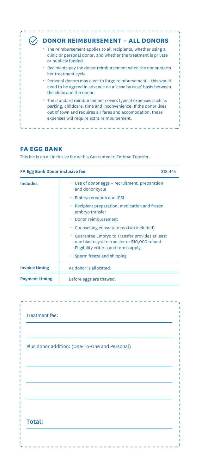| <b>DONOR REIMBURSEMENT - ALL DONORS</b>                                                                                                                                                                                                    |
|--------------------------------------------------------------------------------------------------------------------------------------------------------------------------------------------------------------------------------------------|
| $\cdot$ The reimbursement applies to all recipients, whether using a<br>clinic or personal donor, and whether the treatment is private<br>or publicly funded.                                                                              |
| Example 1. Recipients pay the donor reimbursement when the donor starts<br>her treatment cycle.                                                                                                                                            |
| • Personal donors may elect to forgo reimbursement - this would<br>need to be agreed in advance on a 'case by case' basis between<br>the clinic and the donor.                                                                             |
| • The standard reimbursement covers typical expenses such as<br>parking, childcare, time and inconvenience. If the donor lives<br>out of town and requires air fares and accomodation, these<br>expenses will require extra reimbursement. |

# **FA EGG BANK**

This fee is an all inclusive fee with a Guarantee to Embryo Transfer.

| <b>FA Egg Bank Donor inclusive fee</b> | \$18,445                                                                                                                                                                                                                                                                                                                                                                                                            |
|----------------------------------------|---------------------------------------------------------------------------------------------------------------------------------------------------------------------------------------------------------------------------------------------------------------------------------------------------------------------------------------------------------------------------------------------------------------------|
| <b>Includes</b>                        | Use of donor eggs – recruitment, preparation<br>and donor cycle<br>Embryo creation and ICSI<br>Recipient preparation, medication and frozen<br>embryo transfer<br>Donor reimbursement<br>Counselling consultations (two included)<br>Guarantee Embryo to Transfer provides at least<br>one blastocyst to transfer or \$10,000 refund.<br>Eligibility criteria and terms apply.<br>$\cdot$ Sperm freeze and shipping |
| <b>Invoice timing</b>                  | As donor is allocated.                                                                                                                                                                                                                                                                                                                                                                                              |
| <b>Payment timing</b>                  | Before eggs are thawed.                                                                                                                                                                                                                                                                                                                                                                                             |

|        |  | Plus donor addition: (One-To-One and Personal) |  |
|--------|--|------------------------------------------------|--|
|        |  |                                                |  |
|        |  |                                                |  |
|        |  |                                                |  |
|        |  |                                                |  |
|        |  |                                                |  |
| Total: |  |                                                |  |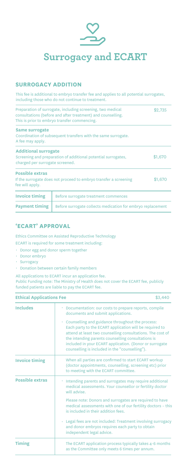

## **SURROGACY ADDITION**

This fee is additional to embryo transfer fee and applies to all potential surrogates, including those who do not continue to treatment.

| Preparation of surrogate, including screening, two medical<br>\$2,735<br>consultations (before and after treatment) and counselling.<br>This is prior to embryo transfer commencing. |                                                                  |         |
|--------------------------------------------------------------------------------------------------------------------------------------------------------------------------------------|------------------------------------------------------------------|---------|
| Same surrogate<br>A fee may apply.                                                                                                                                                   | Coordination of subsequent transfers with the same surrogate.    |         |
| <b>Additional surrogate</b><br>\$1,670<br>Screening and preparation of additional potential surrogates,<br>charged per surrogate screened.                                           |                                                                  |         |
| <b>Possible extras</b><br>fee will apply.                                                                                                                                            | If the surrogate does not proceed to embryo transfer a screening | \$1,670 |
| <b>Invoice timing</b>                                                                                                                                                                | Before surrogate treatment commences                             |         |
| <b>Payment timing</b>                                                                                                                                                                | Before surrogate collects medication for embryo replacement      |         |

# **'ECART' APPROVAL**

Ethics Committee on Assisted Reproductive Technology

ECART is required for some treatment including:

- Donor egg and donor sperm together
- Donor embryo
- Surrogacy
- Donation between certain family members

All applications to ECART incur an application fee.

Public Funding note: The Ministry of Health does not cover the ECART fee, publicly funded patients are liable to pay the ECART fee.

| <b>Ethical Applications Fee</b> |                                                                                                                                                                                                                                                                                                                                                | \$3,440 |
|---------------------------------|------------------------------------------------------------------------------------------------------------------------------------------------------------------------------------------------------------------------------------------------------------------------------------------------------------------------------------------------|---------|
| <b>Includes</b>                 | • Documentation: our costs to prepare reports, compile<br>documents and submit applications.                                                                                                                                                                                                                                                   |         |
|                                 | • Counselling and guidance throughout the process:<br>Each party to the ECART application will be required to<br>attend at least two counselling consultations. The cost of<br>the intending parents counselling consultations is<br>included in your ECART application. (Donor or surrogate<br>counselling is included in the "counselling"). |         |
| <b>Invoice timing</b>           | When all parties are confirmed to start ECART workup<br>(doctor appointments, counselling, screening etc) prior<br>to meeting with the ECART committee.                                                                                                                                                                                        |         |
| <b>Possible extras</b>          | Intending parents and surrogates may require additional<br>medical assessments. Your counsellor or fertility doctor<br>will advise.                                                                                                                                                                                                            |         |
|                                 | Please note: Donors and surrogates are required to have<br>medical assessments with one of our fertility doctors - this<br>is included in their addition fees.                                                                                                                                                                                 |         |
|                                 | • Legal fees are not included: Treatment involving surrogacy<br>and donor embryos requires each party to obtain<br>independent legal advice.                                                                                                                                                                                                   |         |
| <b>Timing</b>                   | The ECART application process typically takes 4-6 months<br>as the Committee only meets 6 times per annum.                                                                                                                                                                                                                                     |         |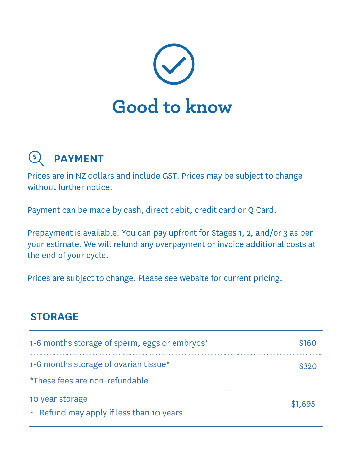

#### $\left( \xi \right)$ **PAYMENT**

Prices are in NZ dollars and include GST. Prices may be subject to change without further notice.

Payment can be made by cash, direct debit, credit card or Q Card.

Prepayment is available. You can pay upfront for Stages 1, 2, and/or 3 as per your estimate. We will refund any overpayment or invoice additional costs at the end of your cycle.

Prices are subject to change. Please see website for current pricing.

## **STORAGE**

| 1-6 months storage of sperm, eggs or embryos*                           | \$160   |
|-------------------------------------------------------------------------|---------|
| 1-6 months storage of ovarian tissue*<br>*These fees are non-refundable | \$320   |
| 10 year storage<br>$\cdot$ Refund may apply if less than 10 years.      | \$1.695 |